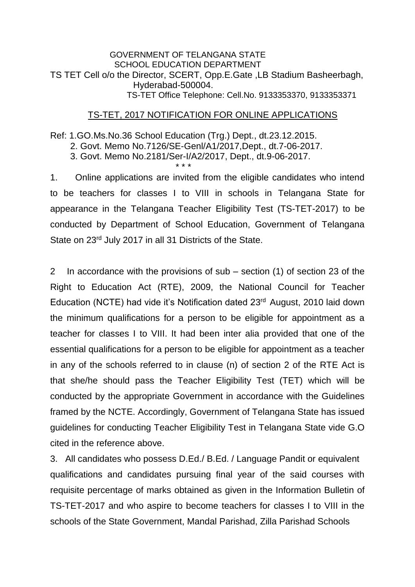#### GOVERNMENT OF TELANGANA STATE SCHOOL EDUCATION DEPARTMENT TS TET Cell o/o the Director, SCERT, Opp.E.Gate ,LB Stadium Basheerbagh, Hyderabad-500004. TS-TET Office Telephone: Cell.No. 9133353370, 9133353371

### TS-TET, 2017 NOTIFICATION FOR ONLINE APPLICATIONS

Ref: 1.GO.Ms.No.36 School Education (Trg.) Dept., dt.23.12.2015. 2. Govt. Memo No.7126/SE-Genl/A1/2017,Dept., dt.7-06-2017. 3. Govt. Memo No.2181/Ser-I/A2/2017, Dept., dt.9-06-2017. \* \* \*

1. Online applications are invited from the eligible candidates who intend to be teachers for classes I to VIII in schools in Telangana State for appearance in the Telangana Teacher Eligibility Test (TS-TET-2017) to be conducted by Department of School Education, Government of Telangana State on 23rd July 2017 in all 31 Districts of the State.

2 In accordance with the provisions of sub – section (1) of section 23 of the Right to Education Act (RTE), 2009, the National Council for Teacher Education (NCTE) had vide it's Notification dated 23<sup>rd</sup> August, 2010 laid down the minimum qualifications for a person to be eligible for appointment as a teacher for classes I to VIII. It had been inter alia provided that one of the essential qualifications for a person to be eligible for appointment as a teacher in any of the schools referred to in clause (n) of section 2 of the RTE Act is that she/he should pass the Teacher Eligibility Test (TET) which will be conducted by the appropriate Government in accordance with the Guidelines framed by the NCTE. Accordingly, Government of Telangana State has issued guidelines for conducting Teacher Eligibility Test in Telangana State vide G.O cited in the reference above.

3. All candidates who possess D.Ed./ B.Ed. / Language Pandit or equivalent qualifications and candidates pursuing final year of the said courses with requisite percentage of marks obtained as given in the Information Bulletin of TS-TET-2017 and who aspire to become teachers for classes I to VIII in the schools of the State Government, Mandal Parishad, Zilla Parishad Schools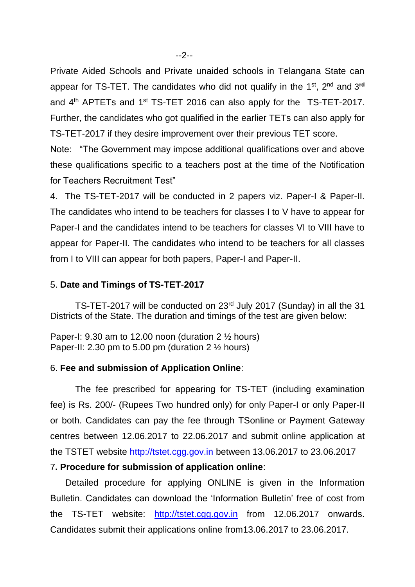Private Aided Schools and Private unaided schools in Telangana State can appear for TS-TET. The candidates who did not qualify in the 1<sup>st</sup>, 2<sup>nd</sup> and 3<sup>rd</sup> and  $4<sup>th</sup>$  APTETs and  $1<sup>st</sup>$  TS-TET 2016 can also apply for the TS-TET-2017. Further, the candidates who got qualified in the earlier TETs can also apply for TS-TET-2017 if they desire improvement over their previous TET score.

Note: "The Government may impose additional qualifications over and above these qualifications specific to a teachers post at the time of the Notification for Teachers Recruitment Test"

4. The TS-TET-2017 will be conducted in 2 papers viz. Paper-I & Paper-II. The candidates who intend to be teachers for classes I to V have to appear for Paper-I and the candidates intend to be teachers for classes VI to VIII have to appear for Paper-II. The candidates who intend to be teachers for all classes from I to VIII can appear for both papers, Paper-I and Paper-II.

#### 5. **Date and Timings of TS-TET**-**2017**

TS-TET-2017 will be conducted on 23rd July 2017 (Sunday) in all the 31 Districts of the State. The duration and timings of the test are given below:

Paper-I: 9.30 am to 12.00 noon (duration  $2\frac{1}{2}$  hours) Paper-II: 2.30 pm to 5.00 pm (duration  $2\frac{1}{2}$  hours)

#### 6. **Fee and submission of Application Online**:

The fee prescribed for appearing for TS-TET (including examination fee) is Rs. 200/- (Rupees Two hundred only) for only Paper-I or only Paper-II or both. Candidates can pay the fee through TSonline or Payment Gateway centres between 12.06.2017 to 22.06.2017 and submit online application at the TSTET website [http://tstet.cgg.gov.in](http://tstet.cgg.gov.in/) between 13.06.2017 to 23.06.2017

#### 7**. Procedure for submission of application online**:

 Detailed procedure for applying ONLINE is given in the Information Bulletin. Candidates can download the 'Information Bulletin' free of cost from the TS-TET website: [http://tstet.cgg.gov.in](http://tstet.cgg.gov.in/) from 12.06.2017 onwards. Candidates submit their applications online from13.06.2017 to 23.06.2017.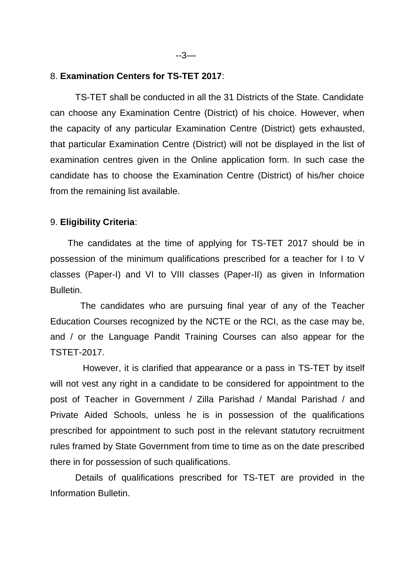### 8. **Examination Centers for TS-TET 2017**:

TS-TET shall be conducted in all the 31 Districts of the State. Candidate can choose any Examination Centre (District) of his choice. However, when the capacity of any particular Examination Centre (District) gets exhausted, that particular Examination Centre (District) will not be displayed in the list of examination centres given in the Online application form. In such case the candidate has to choose the Examination Centre (District) of his/her choice from the remaining list available.

#### 9. **Eligibility Criteria**:

 The candidates at the time of applying for TS-TET 2017 should be in possession of the minimum qualifications prescribed for a teacher for I to V classes (Paper-I) and VI to VIII classes (Paper-II) as given in Information Bulletin.

 The candidates who are pursuing final year of any of the Teacher Education Courses recognized by the NCTE or the RCI, as the case may be, and / or the Language Pandit Training Courses can also appear for the TSTET-2017.

 However, it is clarified that appearance or a pass in TS-TET by itself will not vest any right in a candidate to be considered for appointment to the post of Teacher in Government / Zilla Parishad / Mandal Parishad / and Private Aided Schools, unless he is in possession of the qualifications prescribed for appointment to such post in the relevant statutory recruitment rules framed by State Government from time to time as on the date prescribed there in for possession of such qualifications.

Details of qualifications prescribed for TS-TET are provided in the Information Bulletin.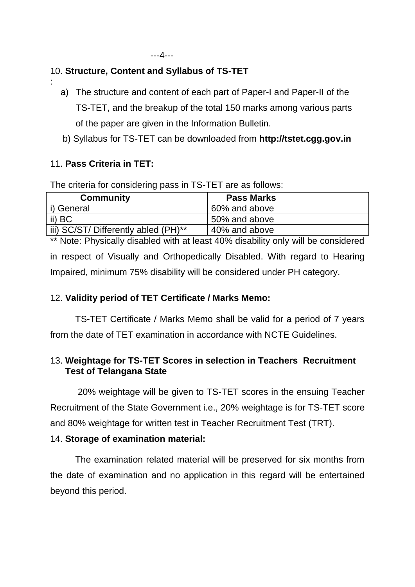## 10. **Structure, Content and Syllabus of TS-TET**

- a) The structure and content of each part of Paper-I and Paper-II of the TS-TET, and the breakup of the total 150 marks among various parts of the paper are given in the Information Bulletin.
- b) Syllabus for TS-TET can be downloaded from **http://tstet.cgg.gov.in**

## 11. **Pass Criteria in TET:**

:

The criteria for considering pass in TS-TET are as follows:

| Community                            | <b>Pass Marks</b> |
|--------------------------------------|-------------------|
| i) General                           | 60% and above     |
| ii) BC                               | 50% and above     |
| iii) SC/ST/ Differently abled (PH)** | 40% and above     |

\*\* Note: Physically disabled with at least 40% disability only will be considered in respect of Visually and Orthopedically Disabled. With regard to Hearing Impaired, minimum 75% disability will be considered under PH category.

# 12. **Validity period of TET Certificate / Marks Memo:**

TS-TET Certificate / Marks Memo shall be valid for a period of 7 years from the date of TET examination in accordance with NCTE Guidelines.

# 13. **Weightage for TS-TET Scores in selection in Teachers Recruitment Test of Telangana State**

20% weightage will be given to TS-TET scores in the ensuing Teacher Recruitment of the State Government i.e., 20% weightage is for TS-TET score and 80% weightage for written test in Teacher Recruitment Test (TRT).

# 14. **Storage of examination material:**

The examination related material will be preserved for six months from the date of examination and no application in this regard will be entertained beyond this period.